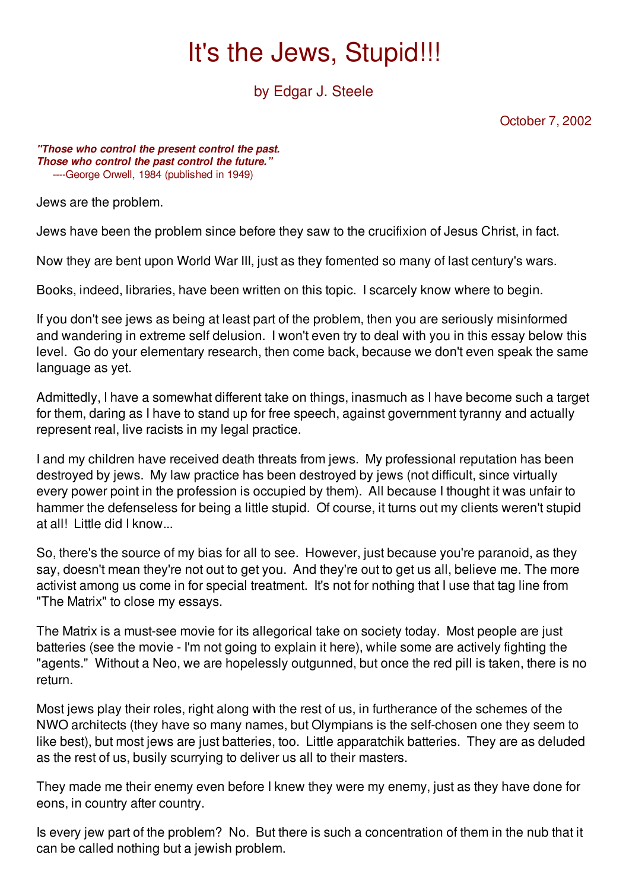## It's the Jews, Stupid!!!

by Edgar J. Steele

October 7, 2002

*"Those who control the present control the past. Those who control the past control the future."* ----George Orwell, 1984 (published in 1949)

Jews are the problem.

Jews have been the problem since before they saw to the crucifixion of Jesus Christ, in fact.

Now they are bent upon World War III, just as they fomented so many of last century's wars.

Books, indeed, libraries, have been written on this topic. I scarcely know where to begin.

If you don't see jews as being at least part of the problem, then you are seriously misinformed and wandering in extreme self delusion. I won't even try to deal with you in this essay below this level. Go do your elementary research, then come back, because we don't even speak the same language as yet.

Admittedly, I have a somewhat different take on things, inasmuch as I have become such a target for them, daring as I have to stand up for free speech, against government tyranny and actually represent real, live racists in my legal practice.

I and my children have received death threats from jews. My professional reputation has been destroyed by jews. My law practice has been destroyed by jews (not difficult, since virtually every power point in the profession is occupied by them). All because I thought it was unfair to hammer the defenseless for being a little stupid. Of course, it turns out my clients weren't stupid at all! Little did I know...

So, there's the source of my bias for all to see. However, just because you're paranoid, as they say, doesn't mean they're not out to get you. And they're out to get us all, believe me. The more activist among us come in for special treatment. It's not for nothing that I use that tag line from "The Matrix" to close my essays.

The Matrix is a must-see movie for its allegorical take on society today. Most people are just batteries (see the movie - I'm not going to explain it here), while some are actively fighting the "agents." Without a Neo, we are hopelessly outgunned, but once the red pill is taken, there is no return.

Most jews play their roles, right along with the rest of us, in furtherance of the schemes of the NWO architects (they have so many names, but Olympians is the self-chosen one they seem to like best), but most jews are just batteries, too. Little apparatchik batteries. They are as deluded as the rest of us, busily scurrying to deliver us all to their masters.

They made me their enemy even before I knew they were my enemy, just as they have done for eons, in country after country.

Is every jew part of the problem? No. But there is such a concentration of them in the nub that it can be called nothing but a jewish problem.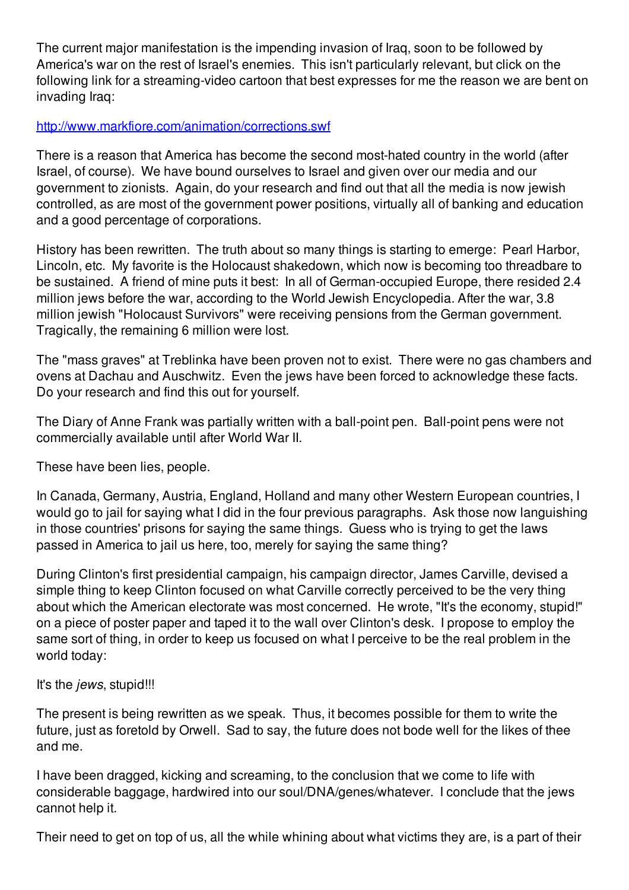The current major manifestation is the impending invasion of Iraq, soon to be followed by America's war on the rest of Israel's enemies. This isn't particularly relevant, but click on the following link for a streaming-video cartoon that best expresses for me the reason we are bent on invading Iraq:

## <http://www.markfiore.com/animation/corrections.swf>

There is a reason that America has become the second most-hated country in the world (after Israel, of course). We have bound ourselves to Israel and given over our media and our government to zionists. Again, do your research and find out that all the media is now jewish controlled, as are most of the government power positions, virtually all of banking and education and a good percentage of corporations.

History has been rewritten. The truth about so many things is starting to emerge: Pearl Harbor, Lincoln, etc. My favorite is the Holocaust shakedown, which now is becoming too threadbare to be sustained. A friend of mine puts it best: In all of German-occupied Europe, there resided 2.4 million jews before the war, according to the World Jewish Encyclopedia. After the war, 3.8 million jewish "Holocaust Survivors" were receiving pensions from the German government. Tragically, the remaining 6 million were lost.

The "mass graves" at Treblinka have been proven not to exist. There were no gas chambers and ovens at Dachau and Auschwitz. Even the jews have been forced to acknowledge these facts. Do your research and find this out for yourself.

The Diary of Anne Frank was partially written with a ball-point pen. Ball-point pens were not commercially available until after World War II.

These have been lies, people.

In Canada, Germany, Austria, England, Holland and many other Western European countries, I would go to jail for saying what I did in the four previous paragraphs. Ask those now languishing in those countries' prisons for saying the same things. Guess who is trying to get the laws passed in America to jail us here, too, merely for saying the same thing?

During Clinton's first presidential campaign, his campaign director, James Carville, devised a simple thing to keep Clinton focused on what Carville correctly perceived to be the very thing about which the American electorate was most concerned. He wrote, "It's the economy, stupid!" on a piece of poster paper and taped it to the wall over Clinton's desk. I propose to employ the same sort of thing, in order to keep us focused on what I perceive to be the real problem in the world today:

It's the *jews*, stupid!!!

The present is being rewritten as we speak. Thus, it becomes possible for them to write the future, just as foretold by Orwell. Sad to say, the future does not bode well for the likes of thee and me.

I have been dragged, kicking and screaming, to the conclusion that we come to life with considerable baggage, hardwired into our soul/DNA/genes/whatever. I conclude that the jews cannot help it.

Their need to get on top of us, all the while whining about what victims they are, is a part of their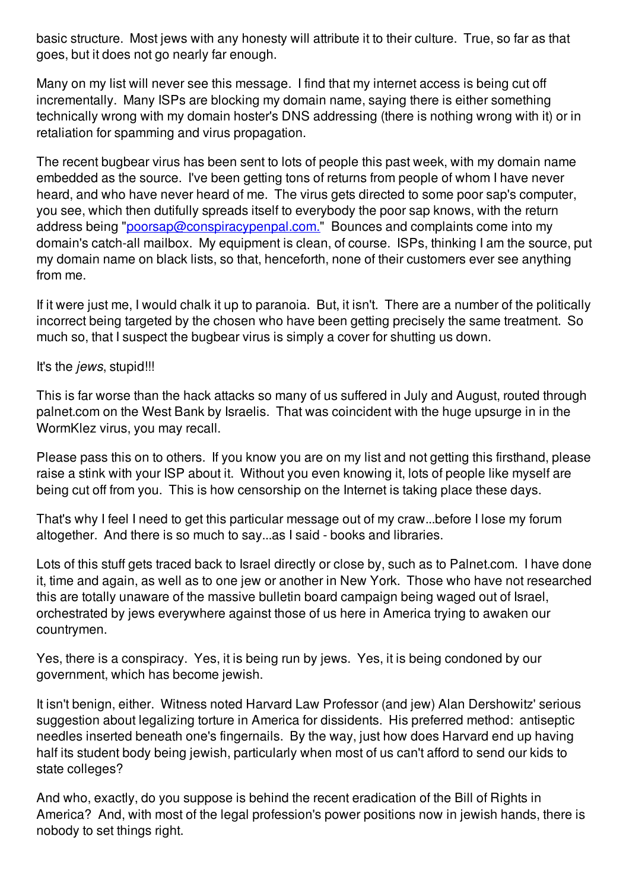<span id="page-2-0"></span>basic structure. Most jews with any honesty will attribute it to their culture. True, so far as that goes, but it does not go nearly far enough.

Many on my list will never see this message. I find that my internet access is being cut off incrementally. Many ISPs are blocking my domain name, saying there is either something technically wrong with my domain hoster's DNS addressing (there is nothing wrong with it) or in retaliation for spamming and virus propagation.

The recent bugbear virus has been sent to lots of people this past week, with my domain name embedded as the source. I've been getting tons of returns from people of whom I have never heard, and who have never heard of me. The virus gets directed to some poor sap's computer, you see, which then dutifully spreads itself to everybody the poor sap knows, with the return address being "[poorsap@conspiracypenpal.com.](mailto:poorsap@conspiracypenpal.com.)" Bounces and complaints come into my domain's catch-all mailbox. My equipment is clean, of course. ISPs, thinking I am the source, put my domain name on black lists, so that, henceforth, none of their customers ever see anything from me.

If it were just me, I would chalk it up to paranoia. But, it isn't. There are a number of the politically incorrect being targeted by the chosen who have been getting precisely the same treatment. So much so, that I suspect the bugbear virus is simply a cover for shutting us down.

It's the *jews*, stupid!!!

This is far worse than the hack attacks so many of us suffered in July and August, routed through palnet.com on the West Bank by Israelis. That was coincident with the huge upsurge in in the WormKlez virus, you may recall.

Please pass this on to others. If you know you are on my list and not getting this firsthand, please raise a stink with your ISP about it. Without you even knowing it, lots of people like myself are being cut off from you. This is how censorship on the Internet is taking place these days.

That's why I feel I need to get this particular message out of my craw...before I lose my forum altogether. And there is so much to say...as I said - books and libraries.

Lots of this stuff gets traced back to Israel directly or close by, such as to Palnet.com. I have done it, time and again, as well as to one jew or another in New York. Those who have not researched this are totally unaware of the massive bulletin board campaign being waged out of Israel, orchestrated by jews everywhere against those of us here in America trying to awaken our countrymen.

Yes, there is a conspiracy. Yes, it is being run by jews. Yes, it is being condoned by our government, which has become jewish.

It isn't benign, either. Witness noted Harvard Law Professor (and jew) Alan Dershowitz' serious suggestion about legalizing torture in America for dissidents. His preferred method: antiseptic needles inserted beneath one's fingernails. By the way, just how does Harvard end up having half its student body being jewish, particularly when most of us can't afford to send our kids to state colleges?

And who, exactly, do you suppose is behind the recent eradication of the Bill of Rights in America? And, with most of the legal profession's power positions now in jewish hands, there is nobody to set things right.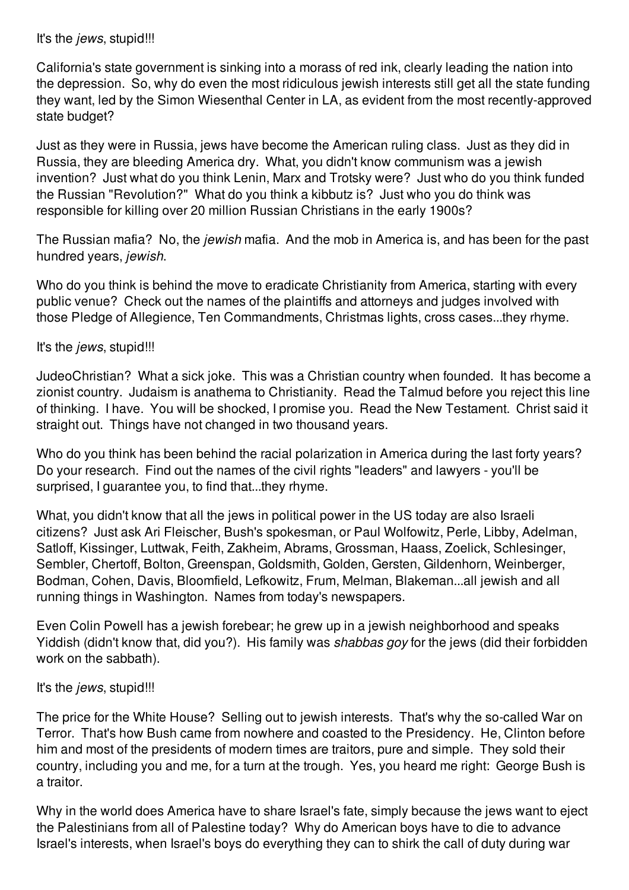It's the *jews*, stupid!!!

California's state government is sinking into a morass of red ink, clearly leading the nation into the depression. So, why do even the most ridiculous jewish interests still get all the state funding they want, led by the Simon Wiesenthal Center in LA, as evident from the most recently-approved state budget?

Just as they were in Russia, jews have become the American ruling class. Just as they did in Russia, they are bleeding America dry. What, you didn't know communism was a jewish invention? Just what do you think Lenin, Marx and Trotsky were? Just who do you think funded the Russian "Revolution?" What do you think a kibbutz is? Just who you do think was responsible for killing over 20 million Russian Christians in the early 1900s?

The Russian mafia? No, the *jewish* mafia. And the mob in America is, and has been for the past hundred years, *jewish*.

Who do you think is behind the move to eradicate Christianity from America, starting with every public venue? Check out the names of the plaintiffs and attorneys and judges involved with those Pledge of Allegience, Ten Commandments, Christmas lights, cross cases...they rhyme.

## It's the *jews*, stupid!!!

JudeoChristian? What a sick joke. This was a Christian country when founded. It has become a zionist country. Judaism is anathema to Christianity. Read the Talmud before you reject this line of thinking. I have. You will be shocked, I promise you. Read the New Testament. Christ said it straight out. Things have not changed in two thousand years.

Who do you think has been behind the racial polarization in America during the last forty years? Do your research. Find out the names of the civil rights "leaders" and lawyers - you'll be surprised, I guarantee you, to find that...they rhyme.

What, you didn't know that all the jews in political power in the US today are also Israeli citizens? Just ask Ari Fleischer, Bush's spokesman, or Paul Wolfowitz, Perle, Libby, Adelman, Satloff, Kissinger, Luttwak, Feith, Zakheim, Abrams, Grossman, Haass, Zoelick, Schlesinger, Sembler, Chertoff, Bolton, Greenspan, Goldsmith, Golden, Gersten, Gildenhorn, Weinberger, Bodman, Cohen, Davis, Bloomfield, Lefkowitz, Frum, Melman, Blakeman...all jewish and all running things in Washington. Names from today's newspapers.

Even Colin Powell has a jewish forebear; he grew up in a jewish neighborhood and speaks Yiddish (didn't know that, did you?). His family was *shabbas goy* for the jews (did their forbidden work on the sabbath).

## It's the *jews*, stupid!!!

The price for the White House? Selling out to jewish interests. That's why the so-called War on Terror. That's how Bush came from nowhere and coasted to the Presidency. He, Clinton before him and most of the presidents of modern times are traitors, pure and simple. They sold their country, including you and me, for a turn at the trough. Yes, you heard me right: George Bush is a traitor.

Why in the world does America have to share Israel's fate, simply because the jews want to eject the Palestinians from all of Palestine today? Why do American boys have to die to advance Israel's interests, when Israel's boys do everything they can to shirk the call of duty during war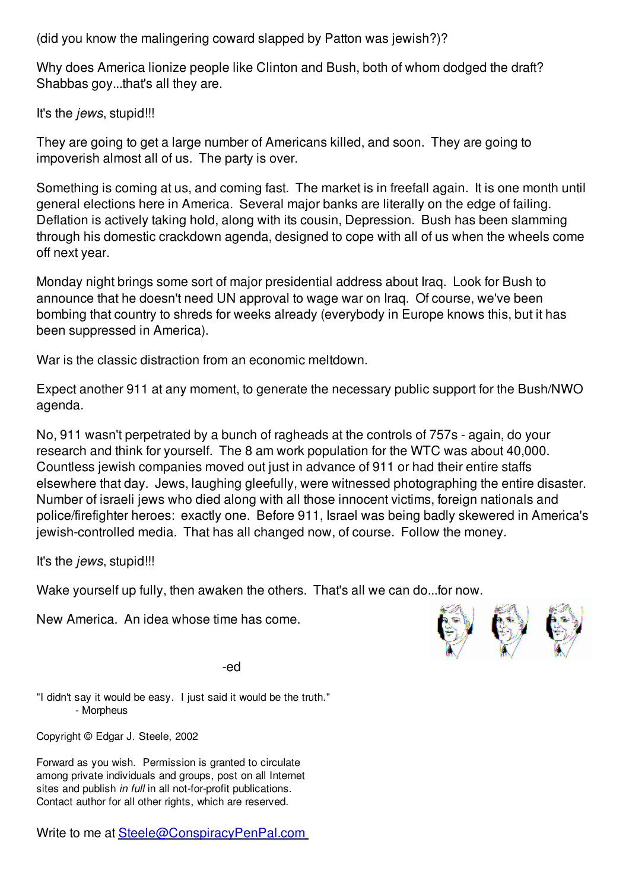(did you know the malingering coward slapped by Patton was jewish?)?

Why does America lionize people like Clinton and Bush, both of whom dodged the draft? Shabbas goy...that's all they are.

It's the *jews*, stupid!!!

They are going to get a large number of Americans killed, and soon. They are going to impoverish almost all of us. The party is over.

Something is coming at us, and coming fast. The market is in freefall again. It is one month until general elections here in America. Several major banks are literally on the edge of failing. Deflation is actively taking hold, along with its cousin, Depression. Bush has been slamming through his domestic crackdown agenda, designed to cope with all of us when the wheels come off next year.

Monday night brings some sort of major presidential address about Iraq. Look for Bush to announce that he doesn't need UN approval to wage war on Iraq. Of course, we've been bombing that country to shreds for weeks already (everybody in Europe knows this, but it has been suppressed in America).

War is the classic distraction from an economic meltdown.

Expect another 911 at any moment, to generate the necessary public support for the Bush/NWO agenda.

No, 911 wasn't perpetrated by a bunch of ragheads at the controls of 757s - again, do your research and think for yourself. The 8 am work population for the WTC was about 40,000. Countless jewish companies moved out just in advance of 911 or had their entire staffs elsewhere that day. Jews, laughing gleefully, were witnessed photographing the entire disaster. Number of israeli jews who died along with all those innocent victims, foreign nationals and police/firefighter heroes: exactly one. Before 911, Israel was being badly skewered in America's jewish-controlled media. That has all changed now, of course. Follow the money.

It's the *jews*, stupid!!!

Wake yourself up fully, then awaken the others. That's all we can do...for now.

New America. An idea whose time has come.

-ed

"I didn't say it would be easy. I just said it would be the truth." - Morpheus

Copyright © Edgar J. Steele, 2002

Forward as you wish. Permission is granted to circulate among private individuals and groups, post on all Internet sites and publish *in full* in all not-for-profit publications. Contact author for all other rights, which are reserved.

Write to me at [Steele@ConspiracyPenPal.com](mailto:Steele@PlainLawTalk.com)